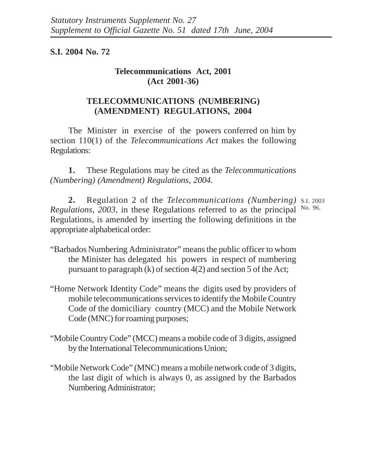## **S.I. 2004 No. 72**

## **Telecommunications Act, 2001 (Act 2001-36)**

## **TELECOMMUNICATIONS (NUMBERING) (AMENDMENT) REGULATIONS, 2004**

The Minister in exercise of the powers conferred on him by section 110(1) of the *Telecommunications Act* makes the following Regulations:

**1.** These Regulations may be cited as the *Telecommunications (Numbering) (Amendment) Regulations, 2004.*

**2.** Regulation 2 of the *Telecommunications (Numbering)* S.I. 2003 Regulations, 2003, in these Regulations referred to as the principal No. 96. Regulations, is amended by inserting the following definitions in the appropriate alphabetical order:

- "Barbados Numbering Administrator" means the public officer to whom the Minister has delegated his powers in respect of numbering pursuant to paragraph (k) of section 4(2) and section 5 of the Act;
- "Home Network Identity Code" means the digits used by providers of mobile telecommunications services to identify the Mobile Country Code of the domiciliary country (MCC) and the Mobile Network Code (MNC) for roaming purposes;
- "Mobile Country Code" (MCC) means a mobile code of 3 digits, assigned by the International Telecommunications Union;
- "Mobile Network Code" (MNC) means a mobile network code of 3 digits, the last digit of which is always 0, as assigned by the Barbados Numbering Administrator;